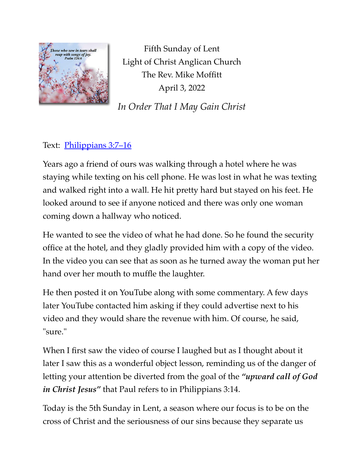

Fifth Sunday of Lent Light of Christ Anglican Church The Rev. Mike Moffitt April 3, 2022

*In Order That I May Gain Christ*

## Text: Philippians 3:7-16

Years ago a friend of ours was walking through a hotel where he was staying while texting on his cell phone. He was lost in what he was texting and walked right into a wall. He hit pretty hard but stayed on his feet. He looked around to see if anyone noticed and there was only one woman coming down a hallway who noticed.

He wanted to see the video of what he had done. So he found the security office at the hotel, and they gladly provided him with a copy of the video. In the video you can see that as soon as he turned away the woman put her hand over her mouth to muffle the laughter.

He then posted it on YouTube along with some commentary. A few days later YouTube contacted him asking if they could advertise next to his video and they would share the revenue with him. Of course, he said, "sure."

When I first saw the video of course I laughed but as I thought about it later I saw this as a wonderful object lesson, reminding us of the danger of letting your attention be diverted from the goal of the *"upward call of God in Christ Jesus"* that Paul refers to in Philippians 3:14.

Today is the 5th Sunday in Lent, a season where our focus is to be on the cross of Christ and the seriousness of our sins because they separate us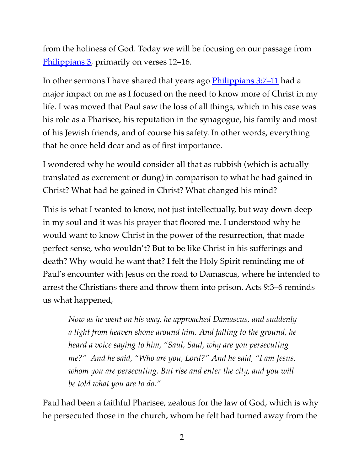from the holiness of God. Today we will be focusing on our passage from [Philippians 3](https://www.biblegateway.com/passage/?search=Philippians+3:7%E2%80%9316&version=ESV), primarily on verses 12–16.

In other sermons I have shared that years ago [Philippians 3:7–11](https://www.biblegateway.com/passage/?search=Philippians+3:7-11,John+21:1-14&version=ESV) had a major impact on me as I focused on the need to know more of Christ in my life. I was moved that Paul saw the loss of all things, which in his case was his role as a Pharisee, his reputation in the synagogue, his family and most of his Jewish friends, and of course his safety. In other words, everything that he once held dear and as of first importance.

I wondered why he would consider all that as rubbish (which is actually translated as excrement or dung) in comparison to what he had gained in Christ? What had he gained in Christ? What changed his mind?

This is what I wanted to know, not just intellectually, but way down deep in my soul and it was his prayer that floored me. I understood why he would want to know Christ in the power of the resurrection, that made perfect sense, who wouldn't? But to be like Christ in his sufferings and death? Why would he want that? I felt the Holy Spirit reminding me of Paul's encounter with Jesus on the road to Damascus, where he intended to arrest the Christians there and throw them into prison. Acts 9:3–6 reminds us what happened,

*Now as he went on his way, he approached Damascus, and suddenly a light from heaven shone around him. And falling to the ground, he heard a voice saying to him, "Saul, Saul, why are you persecuting me?" And he said, "Who are you, Lord?" And he said, "I am Jesus, whom you are persecuting. But rise and enter the city, and you will be told what you are to do."*

Paul had been a faithful Pharisee, zealous for the law of God, which is why he persecuted those in the church, whom he felt had turned away from the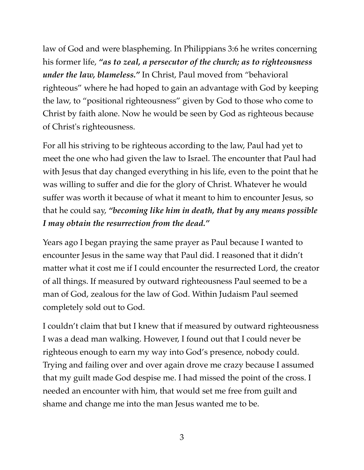law of God and were blaspheming. In Philippians 3:6 he writes concerning his former life, *"as to zeal, a persecutor of the church; as to righteousness under the law, blameless."* In Christ, Paul moved from "behavioral righteous" where he had hoped to gain an advantage with God by keeping the law, to "positional righteousness" given by God to those who come to Christ by faith alone. Now he would be seen by God as righteous because of Christ's righteousness.

For all his striving to be righteous according to the law, Paul had yet to meet the one who had given the law to Israel. The encounter that Paul had with Jesus that day changed everything in his life, even to the point that he was willing to suffer and die for the glory of Christ. Whatever he would suffer was worth it because of what it meant to him to encounter Jesus, so that he could say, *"becoming like him in death, that by any means possible I may obtain the resurrection from the dead."*

Years ago I began praying the same prayer as Paul because I wanted to encounter Jesus in the same way that Paul did. I reasoned that it didn't matter what it cost me if I could encounter the resurrected Lord, the creator of all things. If measured by outward righteousness Paul seemed to be a man of God, zealous for the law of God. Within Judaism Paul seemed completely sold out to God.

I couldn't claim that but I knew that if measured by outward righteousness I was a dead man walking. However, I found out that I could never be righteous enough to earn my way into God's presence, nobody could. Trying and failing over and over again drove me crazy because I assumed that my guilt made God despise me. I had missed the point of the cross. I needed an encounter with him, that would set me free from guilt and shame and change me into the man Jesus wanted me to be.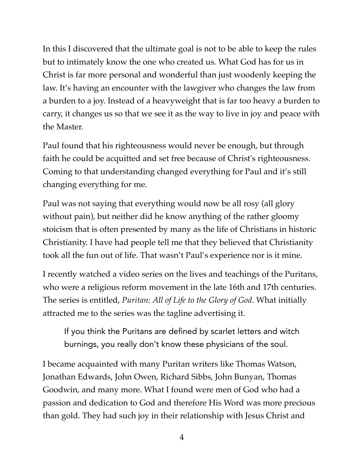In this I discovered that the ultimate goal is not to be able to keep the rules but to intimately know the one who created us. What God has for us in Christ is far more personal and wonderful than just woodenly keeping the law. It's having an encounter with the lawgiver who changes the law from a burden to a joy. Instead of a heavyweight that is far too heavy a burden to carry, it changes us so that we see it as the way to live in joy and peace with the Master.

Paul found that his righteousness would never be enough, but through faith he could be acquitted and set free because of Christ's righteousness. Coming to that understanding changed everything for Paul and it's still changing everything for me.

Paul was not saying that everything would now be all rosy (all glory without pain), but neither did he know anything of the rather gloomy stoicism that is often presented by many as the life of Christians in historic Christianity. I have had people tell me that they believed that Christianity took all the fun out of life. That wasn't Paul's experience nor is it mine.

I recently watched a video series on the lives and teachings of the Puritans, who were a religious reform movement in the late 16th and 17th centuries. The series is entitled, *Puritan: All of Life to the Glory of God*. What initially attracted me to the series was the tagline advertising it.

If you think the Puritans are defined by scarlet letters and witch burnings, you really don't know these physicians of the soul.

I became acquainted with many Puritan writers like Thomas Watson, Jonathan Edwards, John Owen, Richard Sibbs, John Bunyan, Thomas Goodwin, and many more. What I found were men of God who had a passion and dedication to God and therefore His Word was more precious than gold. They had such joy in their relationship with Jesus Christ and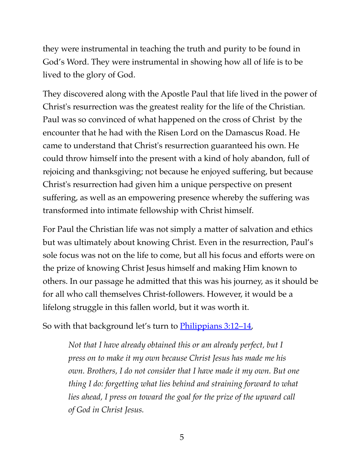they were instrumental in teaching the truth and purity to be found in God's Word. They were instrumental in showing how all of life is to be lived to the glory of God.

They discovered along with the Apostle Paul that life lived in the power of Christ's resurrection was the greatest reality for the life of the Christian. Paul was so convinced of what happened on the cross of Christ by the encounter that he had with the Risen Lord on the Damascus Road. He came to understand that Christ's resurrection guaranteed his own. He could throw himself into the present with a kind of holy abandon, full of rejoicing and thanksgiving; not because he enjoyed suffering, but because Christ's resurrection had given him a unique perspective on present suffering, as well as an empowering presence whereby the suffering was transformed into intimate fellowship with Christ himself.

For Paul the Christian life was not simply a matter of salvation and ethics but was ultimately about knowing Christ. Even in the resurrection, Paul's sole focus was not on the life to come, but all his focus and efforts were on the prize of knowing Christ Jesus himself and making Him known to others. In our passage he admitted that this was his journey, as it should be for all who call themselves Christ-followers. However, it would be a lifelong struggle in this fallen world, but it was worth it.

So with that background let's turn to **Philippians** 3:12–14,

*Not that I have already obtained this or am already perfect, but I press on to make it my own because Christ Jesus has made me his own. Brothers, I do not consider that I have made it my own. But one thing I do: forgetting what lies behind and straining forward to what lies ahead, I press on toward the goal for the prize of the upward call of God in Christ Jesus.*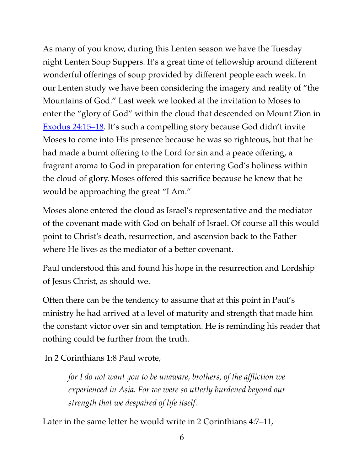As many of you know, during this Lenten season we have the Tuesday night Lenten Soup Suppers. It's a great time of fellowship around different wonderful offerings of soup provided by different people each week. In our Lenten study we have been considering the imagery and reality of "the Mountains of God." Last week we looked at the invitation to Moses to enter the "glory of God" within the cloud that descended on Mount Zion in [Exodus 24:15–18](https://www.biblegateway.com/passage/?search=Exodus+24:15%E2%80%9318&version=ESV). It's such a compelling story because God didn't invite Moses to come into His presence because he was so righteous, but that he had made a burnt offering to the Lord for sin and a peace offering, a fragrant aroma to God in preparation for entering God's holiness within the cloud of glory. Moses offered this sacrifice because he knew that he would be approaching the great "I Am."

Moses alone entered the cloud as Israel's representative and the mediator of the covenant made with God on behalf of Israel. Of course all this would point to Christ's death, resurrection, and ascension back to the Father where He lives as the mediator of a better covenant.

Paul understood this and found his hope in the resurrection and Lordship of Jesus Christ, as should we.

Often there can be the tendency to assume that at this point in Paul's ministry he had arrived at a level of maturity and strength that made him the constant victor over sin and temptation. He is reminding his reader that nothing could be further from the truth.

In 2 Corinthians 1:8 Paul wrote,

*for I do not want you to be unaware, brothers, of the affliction we experienced in Asia. For we were so utterly burdened beyond our strength that we despaired of life itself.*

Later in the same letter he would write in 2 Corinthians 4:7–11,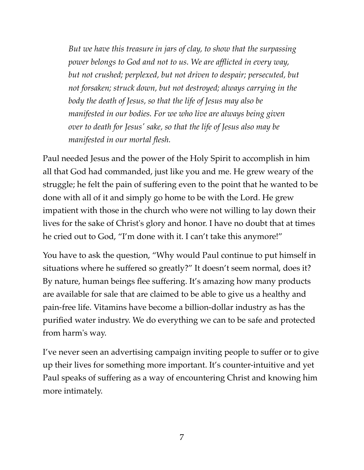*But we have this treasure in jars of clay, to show that the surpassing power belongs to God and not to us. We are afflicted in every way, but not crushed; perplexed, but not driven to despair; persecuted, but not forsaken; struck down, but not destroyed; always carrying in the body the death of Jesus, so that the life of Jesus may also be manifested in our bodies. For we who live are always being given over to death for Jesus' sake, so that the life of Jesus also may be manifested in our mortal flesh.*

Paul needed Jesus and the power of the Holy Spirit to accomplish in him all that God had commanded, just like you and me. He grew weary of the struggle; he felt the pain of suffering even to the point that he wanted to be done with all of it and simply go home to be with the Lord. He grew impatient with those in the church who were not willing to lay down their lives for the sake of Christ's glory and honor. I have no doubt that at times he cried out to God, "I'm done with it. I can't take this anymore!"

You have to ask the question, "Why would Paul continue to put himself in situations where he suffered so greatly?" It doesn't seem normal, does it? By nature, human beings flee suffering. It's amazing how many products are available for sale that are claimed to be able to give us a healthy and pain-free life. Vitamins have become a billion-dollar industry as has the purified water industry. We do everything we can to be safe and protected from harm's way.

I've never seen an advertising campaign inviting people to suffer or to give up their lives for something more important. It's counter-intuitive and yet Paul speaks of suffering as a way of encountering Christ and knowing him more intimately.

7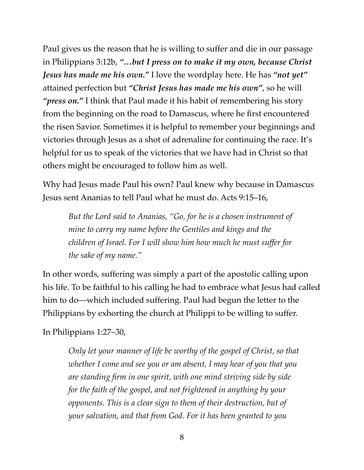Paul gives us the reason that he is willing to suffer and die in our passage in Philippians 3:12b, *"…but I press on to make it my own, because Christ Jesus has made me his own."* I love the wordplay here. He has *"not yet"* attained perfection but *"Christ Jesus has made me his own"*, so he will *"press on."* I think that Paul made it his habit of remembering his story from the beginning on the road to Damascus, where he first encountered the risen Savior. Sometimes it is helpful to remember your beginnings and victories through Jesus as a shot of adrenaline for continuing the race. It's helpful for us to speak of the victories that we have had in Christ so that others might be encouraged to follow him as well.

Why had Jesus made Paul his own? Paul knew why because in Damascus Jesus sent Ananias to tell Paul what he must do. Acts 9:15–16,

*But the Lord said to Ananias, "Go, for he is a chosen instrument of mine to carry my name before the Gentiles and kings and the children of Israel. For I will show him how much he must suffer for the sake of my name."*

In other words, suffering was simply a part of the apostolic calling upon his life. To be faithful to his calling he had to embrace what Jesus had called him to do—which included suffering. Paul had begun the letter to the Philippians by exhorting the church at Philippi to be willing to suffer.

In Philippians 1:27–30,

*Only let your manner of life be worthy of the gospel of Christ, so that whether I come and see you or am absent, I may hear of you that you are standing firm in one spirit, with one mind striving side by side for the faith of the gospel, and not frightened in anything by your opponents. This is a clear sign to them of their destruction, but of your salvation, and that from God. For it has been granted to you*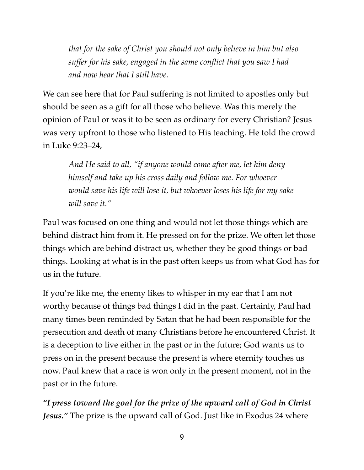*that for the sake of Christ you should not only believe in him but also suffer for his sake, engaged in the same conflict that you saw I had and now hear that I still have.*

We can see here that for Paul suffering is not limited to apostles only but should be seen as a gift for all those who believe. Was this merely the opinion of Paul or was it to be seen as ordinary for every Christian? Jesus was very upfront to those who listened to His teaching. He told the crowd in Luke 9:23–24,

*And He said to all, "if anyone would come after me, let him deny himself and take up his cross daily and follow me. For whoever would save his life will lose it, but whoever loses his life for my sake will save it."*

Paul was focused on one thing and would not let those things which are behind distract him from it. He pressed on for the prize. We often let those things which are behind distract us, whether they be good things or bad things. Looking at what is in the past often keeps us from what God has for us in the future.

If you're like me, the enemy likes to whisper in my ear that I am not worthy because of things bad things I did in the past. Certainly, Paul had many times been reminded by Satan that he had been responsible for the persecution and death of many Christians before he encountered Christ. It is a deception to live either in the past or in the future; God wants us to press on in the present because the present is where eternity touches us now. Paul knew that a race is won only in the present moment, not in the past or in the future.

*"I press toward the goal for the prize of the upward call of God in Christ Jesus.*" The prize is the upward call of God. Just like in Exodus 24 where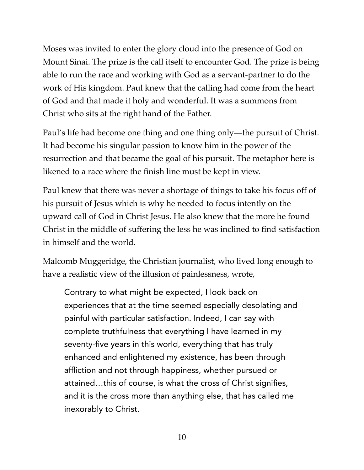Moses was invited to enter the glory cloud into the presence of God on Mount Sinai. The prize is the call itself to encounter God. The prize is being able to run the race and working with God as a servant-partner to do the work of His kingdom. Paul knew that the calling had come from the heart of God and that made it holy and wonderful. It was a summons from Christ who sits at the right hand of the Father.

Paul's life had become one thing and one thing only—the pursuit of Christ. It had become his singular passion to know him in the power of the resurrection and that became the goal of his pursuit. The metaphor here is likened to a race where the finish line must be kept in view.

Paul knew that there was never a shortage of things to take his focus off of his pursuit of Jesus which is why he needed to focus intently on the upward call of God in Christ Jesus. He also knew that the more he found Christ in the middle of suffering the less he was inclined to find satisfaction in himself and the world.

Malcomb Muggeridge, the Christian journalist, who lived long enough to have a realistic view of the illusion of painlessness, wrote,

Contrary to what might be expected, I look back on experiences that at the time seemed especially desolating and painful with particular satisfaction. Indeed, I can say with complete truthfulness that everything I have learned in my seventy-five years in this world, everything that has truly enhanced and enlightened my existence, has been through affliction and not through happiness, whether pursued or attained…this of course, is what the cross of Christ signifies, and it is the cross more than anything else, that has called me inexorably to Christ.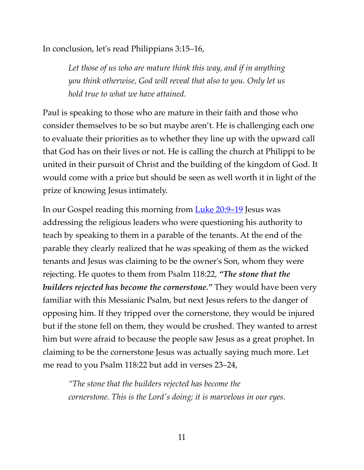In conclusion, let's read Philippians 3:15–16,

*Let those of us who are mature think this way, and if in anything you think otherwise, God will reveal that also to you. Only let us hold true to what we have attained.*

Paul is speaking to those who are mature in their faith and those who consider themselves to be so but maybe aren't. He is challenging each one to evaluate their priorities as to whether they line up with the upward call that God has on their lives or not. He is calling the church at Philippi to be united in their pursuit of Christ and the building of the kingdom of God. It would come with a price but should be seen as well worth it in light of the prize of knowing Jesus intimately.

In our Gospel reading this morning from <u>Luke 20:9–19</u> Jesus was addressing the religious leaders who were questioning his authority to teach by speaking to them in a parable of the tenants. At the end of the parable they clearly realized that he was speaking of them as the wicked tenants and Jesus was claiming to be the owner's Son, whom they were rejecting. He quotes to them from Psalm 118:22, *"The stone that the builders rejected has become the cornerstone."* They would have been very familiar with this Messianic Psalm, but next Jesus refers to the danger of opposing him. If they tripped over the cornerstone, they would be injured but if the stone fell on them, they would be crushed. They wanted to arrest him but were afraid to because the people saw Jesus as a great prophet. In claiming to be the cornerstone Jesus was actually saying much more. Let me read to you Psalm 118:22 but add in verses 23–24,

*"The stone that the builders rejected has become the cornerstone. This is the Lord's doing; it is marvelous in our eyes.*